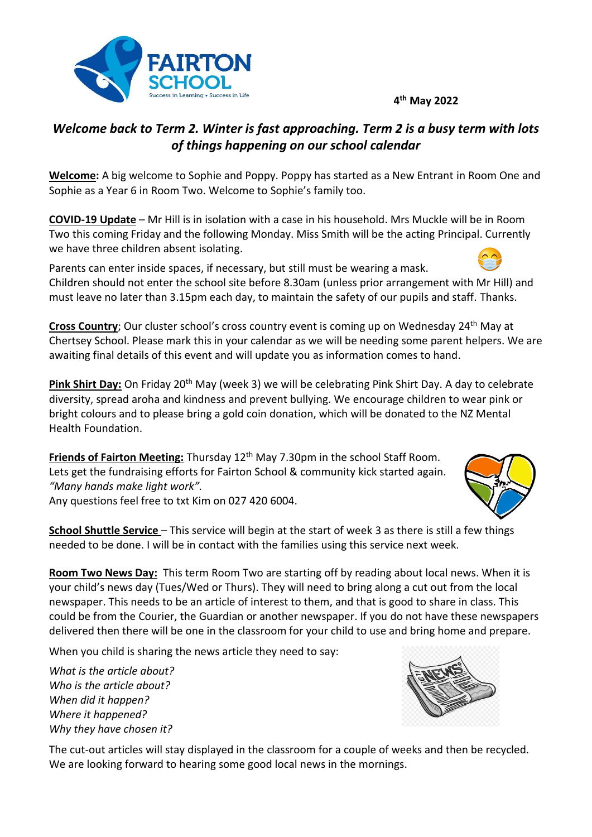## **4 th May 2022**



**Welcome:** A big welcome to Sophie and Poppy. Poppy has started as a New Entrant in Room One and Sophie as a Year 6 in Room Two. Welcome to Sophie's family too.

**COVID-19 Update** – Mr Hill is in isolation with a case in his household. Mrs Muckle will be in Room Two this coming Friday and the following Monday. Miss Smith will be the acting Principal. Currently we have three children absent isolating.

Parents can enter inside spaces, if necessary, but still must be wearing a mask. Children should not enter the school site before 8.30am (unless prior arrangement with Mr Hill) and must leave no later than 3.15pm each day, to maintain the safety of our pupils and staff. Thanks.

**Cross Country**; Our cluster school's cross country event is coming up on Wednesday 24<sup>th</sup> May at Chertsey School. Please mark this in your calendar as we will be needing some parent helpers. We are awaiting final details of this event and will update you as information comes to hand.

**Pink Shirt Day:** On Friday 20th May (week 3) we will be celebrating Pink Shirt Day. A day to celebrate diversity, spread aroha and kindness and prevent bullying. We encourage children to wear pink or bright colours and to please bring a gold coin donation, which will be donated to the NZ Mental Health Foundation.

**Friends of Fairton Meeting:** Thursday 12<sup>th</sup> May 7.30pm in the school Staff Room. Lets get the fundraising efforts for Fairton School & community kick started again. *"Many hands make light work".*

Any questions feel free to txt Kim on 027 420 6004.

**School Shuttle Service** – This service will begin at the start of week 3 as there is still a few things needed to be done. I will be in contact with the families using this service next week.

**Room Two News Day:** This term Room Two are starting off by reading about local news. When it is your child's news day (Tues/Wed or Thurs). They will need to bring along a cut out from the local newspaper. This needs to be an article of interest to them, and that is good to share in class. This could be from the Courier, the Guardian or another newspaper. If you do not have these newspapers delivered then there will be one in the classroom for your child to use and bring home and prepare.

When you child is sharing the news article they need to say:

*What is the article about? Who is the article about? When did it happen? Where it happened? Why they have chosen it?*

The cut-out articles will stay displayed in the classroom for a couple of weeks and then be recycled. We are looking forward to hearing some good local news in the mornings.